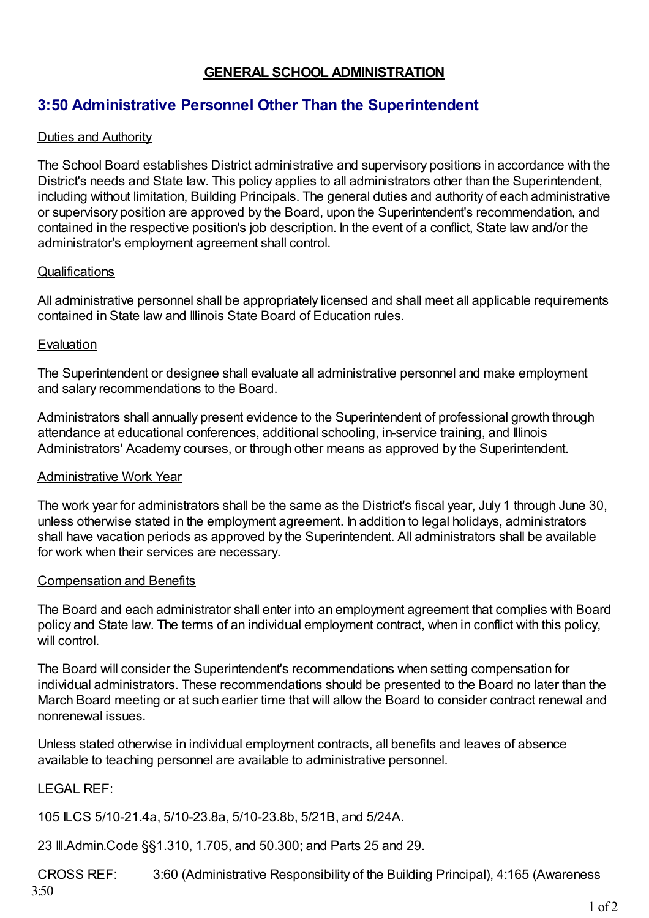## **GENERAL SCHOOL ADMINISTRATION**

# **3:50 Administrative Personnel Other Than the Superintendent**

### Duties and Authority

The School Board establishes District administrative and supervisory positions in accordance with the District's needs and State law. This policy applies to all administrators other than the Superintendent, including without limitation, Building Principals. The general duties and authority of each administrative or supervisory position are approved by the Board, upon the Superintendent's recommendation, and contained in the respective position's job description. In the event of a conflict, State law and/or the administrator's employment agreement shall control.

#### **Qualifications**

All administrative personnel shall be appropriately licensed and shall meet all applicable requirements contained in State law and Illinois State Board of Education rules.

#### Evaluation

The Superintendent or designee shall evaluate all administrative personnel and make employment and salary recommendations to the Board.

Administrators shall annually present evidence to the Superintendent of professional growth through attendance at educational conferences, additional schooling, in-service training, and Illinois Administrators' Academy courses, or through other means as approved by the Superintendent.

#### Administrative Work Year

The work year for administrators shall be the same as the District's fiscal year, July 1 through June 30, unless otherwise stated in the employment agreement. In addition to legal holidays, administrators shall have vacation periods as approved by the Superintendent. All administrators shall be available for work when their services are necessary.

#### Compensation and Benefits

The Board and each administrator shall enter into an employment agreement that complies with Board policy and State law. The terms of an individual employment contract, when in conflict with this policy, will control

The Board will consider the Superintendent's recommendations when setting compensation for individual administrators. These recommendations should be presented to the Board no later than the March Board meeting or at such earlier time that will allow the Board to consider contract renewal and nonrenewal issues.

Unless stated otherwise in individual employment contracts, all benefits and leaves of absence available to teaching personnel are available to administrative personnel.

## LEGAL REF:

105 ILCS 5/10-21.4a, 5/10-23.8a, 5/10-23.8b, 5/21B, and 5/24A.

23 Ill.Admin.Code §§1.310, 1.705, and 50.300; and Parts 25 and 29.

CROSS REF: 3:60 (Administrative Responsibility of the Building Principal), 4:165 (Awareness 3:50